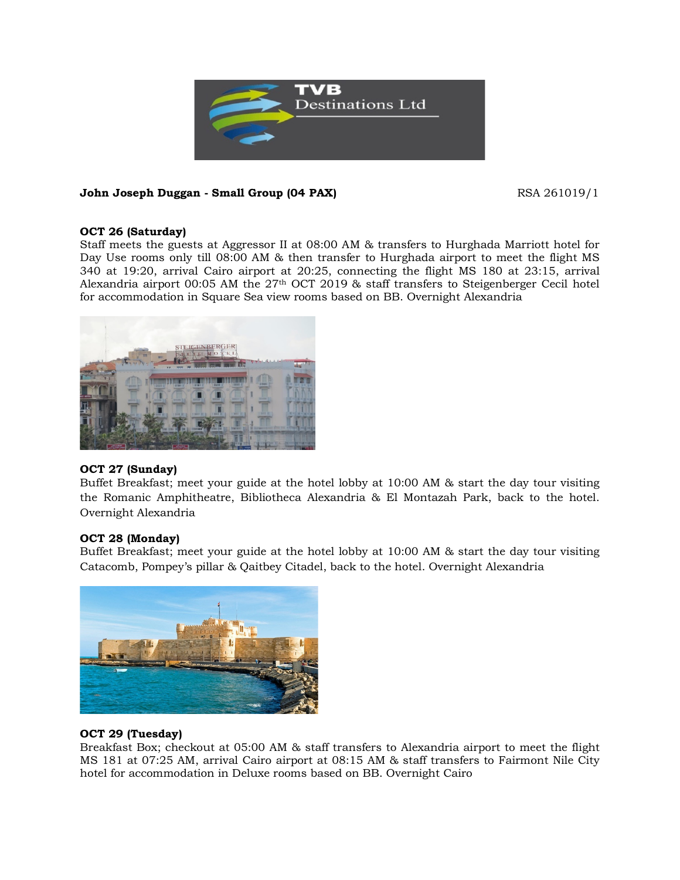

# **John Joseph Duggan - Small Group (04 PAX)** RSA 261019/1

## **OCT 26 (Saturday)**

Staff meets the guests at Aggressor II at 08:00 AM & transfers to Hurghada Marriott hotel for Day Use rooms only till 08:00 AM & then transfer to Hurghada airport to meet the flight MS 340 at 19:20, arrival Cairo airport at 20:25, connecting the flight MS 180 at 23:15, arrival Alexandria airport 00:05 AM the  $27<sup>th</sup>$  OCT 2019 & staff transfers to Steigenberger Cecil hotel for accommodation in Square Sea view rooms based on BB. Overnight Alexandria



## **OCT 27 (Sunday)**

Buffet Breakfast; meet your guide at the hotel lobby at 10:00 AM & start the day tour visiting the Romanic Amphitheatre, Bibliotheca Alexandria & El Montazah Park, back to the hotel. Overnight Alexandria

## **OCT 28 (Monday)**

Buffet Breakfast; meet your guide at the hotel lobby at 10:00 AM & start the day tour visiting Catacomb, Pompey's pillar & Qaitbey Citadel, back to the hotel. Overnight Alexandria



## **OCT 29 (Tuesday)**

Breakfast Box; checkout at 05:00 AM & staff transfers to Alexandria airport to meet the flight MS 181 at 07:25 AM, arrival Cairo airport at 08:15 AM & staff transfers to Fairmont Nile City hotel for accommodation in Deluxe rooms based on BB. Overnight Cairo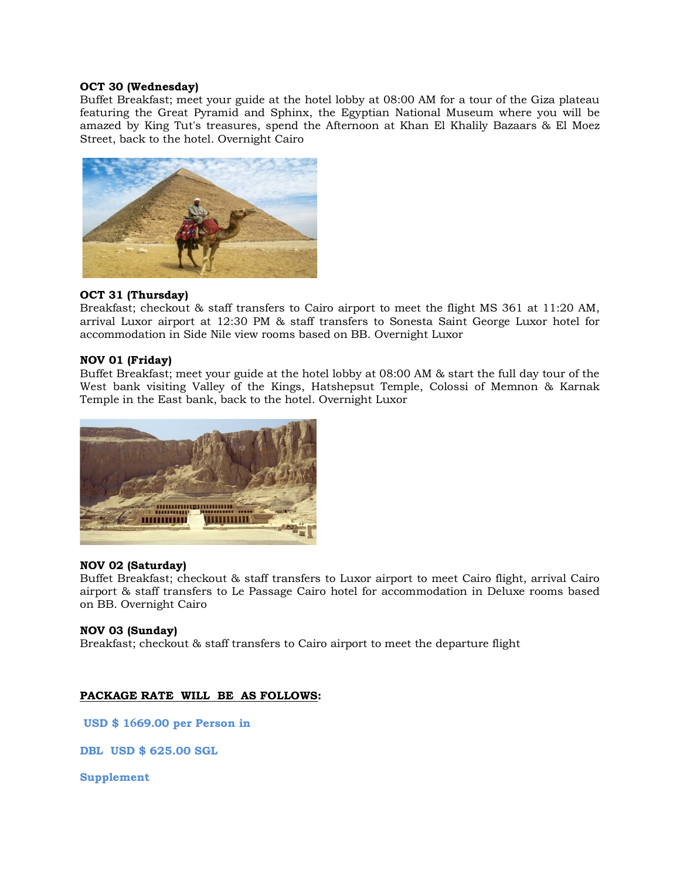#### **OCT 30 (Wednesday)**

Buffet Breakfast; meet your guide at the hotel lobby at 08:00 AM for a tour of the Giza plateau featuring the Great Pyramid and Sphinx, the Egyptian National Museum where you will be amazed by King Tut's treasures, spend the Afternoon at Khan El Khalily Bazaars & El Moez Street, back to the hotel. Overnight Cairo



## **OCT 31 (Thursday)**

Breakfast; checkout & staff transfers to Cairo airport to meet the flight MS 361 at 11:20 AM, arrival Luxor airport at 12:30 PM & staff transfers to Sonesta Saint George Luxor hotel for accommodation in Side Nile view rooms based on BB. Overnight Luxor

## **NOV 01 (Friday)**

Buffet Breakfast; meet your guide at the hotel lobby at 08:00 AM & start the full day tour of the West bank visiting Valley of the Kings, Hatshepsut Temple, Colossi of Memnon & Karnak Temple in the East bank, back to the hotel. Overnight Luxor



## **NOV 02 (Saturday)**

Buffet Breakfast; checkout & staff transfers to Luxor airport to meet Cairo flight, arrival Cairo airport & staff transfers to Le Passage Cairo hotel for accommodation in Deluxe rooms based on BB. Overnight Cairo

## **NOV 03 (Sunday)**

Breakfast; checkout & staff transfers to Cairo airport to meet the departure flight

## **PACKAGE RATE WILL BE AS FOLLOWS:**

**USD \$ 1669.00 per Person in** 

**DBL USD \$ 625.00 SGL** 

**Supplement**